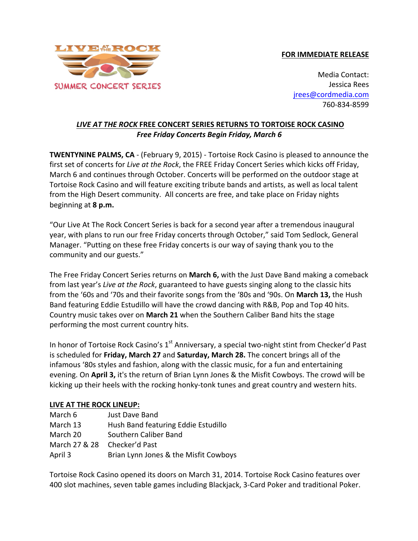## **FOR IMMEDIATE RELEASE**



Media Contact: Jessica Rees jrees@cordmedia.com 760-834-8599

## **LIVE AT THE ROCK FREE CONCERT SERIES RETURNS TO TORTOISE ROCK CASINO Free Friday Concerts Begin Friday, March 6**

**TWENTYNINE PALMS, CA** - (February 9, 2015) - Tortoise Rock Casino is pleased to announce the first set of concerts for *Live at the Rock*, the FREE Friday Concert Series which kicks off Friday, March 6 and continues through October. Concerts will be performed on the outdoor stage at Tortoise Rock Casino and will feature exciting tribute bands and artists, as well as local talent from the High Desert community. All concerts are free, and take place on Friday nights beginning at **8 p.m.**

"Our Live At The Rock Concert Series is back for a second year after a tremendous inaugural year, with plans to run our free Friday concerts through October," said Tom Sedlock, General Manager. "Putting on these free Friday concerts is our way of saying thank you to the community and our guests."

The Free Friday Concert Series returns on **March 6,** with the Just Dave Band making a comeback from last year's *Live at the Rock*, guaranteed to have guests singing along to the classic hits from the '60s and '70s and their favorite songs from the '80s and '90s. On **March 13,** the Hush Band featuring Eddie Estudillo will have the crowd dancing with R&B, Pop and Top 40 hits. Country music takes over on March 21 when the Southern Caliber Band hits the stage performing the most current country hits.

In honor of Tortoise Rock Casino's 1<sup>st</sup> Anniversary, a special two-night stint from Checker'd Past is scheduled for Friday, March 27 and Saturday, March 28. The concert brings all of the infamous '80s styles and fashion, along with the classic music, for a fun and entertaining evening. On **April 3,** it's the return of Brian Lynn Jones & the Misfit Cowboys. The crowd will be kicking up their heels with the rocking honky-tonk tunes and great country and western hits.

## LIVE AT THE ROCK LINEUP:

| March 6       | <b>Just Dave Band</b>                 |
|---------------|---------------------------------------|
| March 13      | Hush Band featuring Eddie Estudillo   |
| March 20      | Southern Caliber Band                 |
| March 27 & 28 | Checker'd Past                        |
| April 3       | Brian Lynn Jones & the Misfit Cowboys |

Tortoise Rock Casino opened its doors on March 31, 2014. Tortoise Rock Casino features over 400 slot machines, seven table games including Blackjack, 3-Card Poker and traditional Poker.